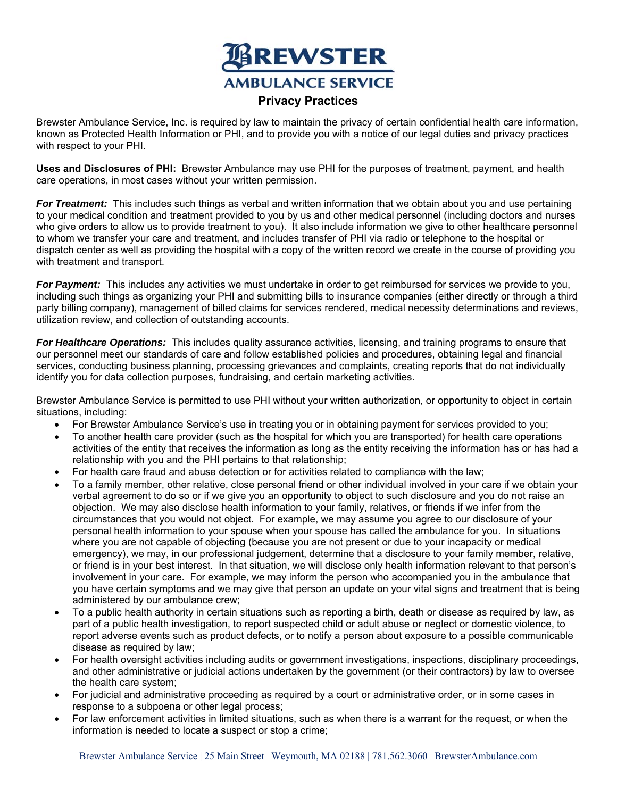

Brewster Ambulance Service, Inc. is required by law to maintain the privacy of certain confidential health care information, known as Protected Health Information or PHI, and to provide you with a notice of our legal duties and privacy practices with respect to your PHI.

**Uses and Disclosures of PHI:** Brewster Ambulance may use PHI for the purposes of treatment, payment, and health care operations, in most cases without your written permission.

*For Treatment:* This includes such things as verbal and written information that we obtain about you and use pertaining to your medical condition and treatment provided to you by us and other medical personnel (including doctors and nurses who give orders to allow us to provide treatment to you). It also include information we give to other healthcare personnel to whom we transfer your care and treatment, and includes transfer of PHI via radio or telephone to the hospital or dispatch center as well as providing the hospital with a copy of the written record we create in the course of providing you with treatment and transport.

*For Payment:* This includes any activities we must undertake in order to get reimbursed for services we provide to you, including such things as organizing your PHI and submitting bills to insurance companies (either directly or through a third party billing company), management of billed claims for services rendered, medical necessity determinations and reviews, utilization review, and collection of outstanding accounts.

*For Healthcare Operations:* This includes quality assurance activities, licensing, and training programs to ensure that our personnel meet our standards of care and follow established policies and procedures, obtaining legal and financial services, conducting business planning, processing grievances and complaints, creating reports that do not individually identify you for data collection purposes, fundraising, and certain marketing activities.

Brewster Ambulance Service is permitted to use PHI without your written authorization, or opportunity to object in certain situations, including:

- For Brewster Ambulance Service's use in treating you or in obtaining payment for services provided to you;
- To another health care provider (such as the hospital for which you are transported) for health care operations activities of the entity that receives the information as long as the entity receiving the information has or has had a relationship with you and the PHI pertains to that relationship;
- For health care fraud and abuse detection or for activities related to compliance with the law;
- To a family member, other relative, close personal friend or other individual involved in your care if we obtain your verbal agreement to do so or if we give you an opportunity to object to such disclosure and you do not raise an objection. We may also disclose health information to your family, relatives, or friends if we infer from the circumstances that you would not object. For example, we may assume you agree to our disclosure of your personal health information to your spouse when your spouse has called the ambulance for you. In situations where you are not capable of objecting (because you are not present or due to your incapacity or medical emergency), we may, in our professional judgement, determine that a disclosure to your family member, relative, or friend is in your best interest. In that situation, we will disclose only health information relevant to that person's involvement in your care. For example, we may inform the person who accompanied you in the ambulance that you have certain symptoms and we may give that person an update on your vital signs and treatment that is being administered by our ambulance crew;
- To a public health authority in certain situations such as reporting a birth, death or disease as required by law, as part of a public health investigation, to report suspected child or adult abuse or neglect or domestic violence, to report adverse events such as product defects, or to notify a person about exposure to a possible communicable disease as required by law;
- For health oversight activities including audits or government investigations, inspections, disciplinary proceedings, and other administrative or judicial actions undertaken by the government (or their contractors) by law to oversee the health care system;
- For judicial and administrative proceeding as required by a court or administrative order, or in some cases in response to a subpoena or other legal process;
- For law enforcement activities in limited situations, such as when there is a warrant for the request, or when the information is needed to locate a suspect or stop a crime;